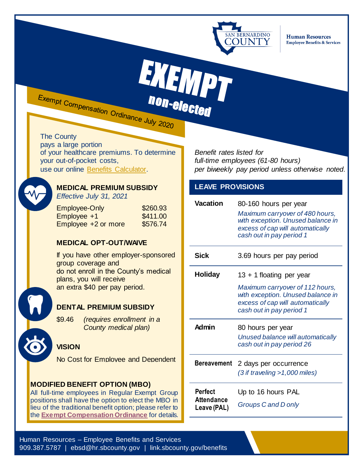

**Human Resources Employee Benefits & Services** 

EXEMPT Exempt Compensation Ordinance July 2020 non-elected

The County pays a large portion of your healthcare premiums. To determine your out-of-pocket costs,

use our online [Benefits Calculator.](https://hr.sbcounty.gov/benefits-calculator/)



# **MEDICAL PREMIUM SUBSIDY**

*Effective July 31, 2021*

| <b>Employee-Only</b> | \$260.93 |
|----------------------|----------|
| Employee +1          | \$411.00 |
| Employee +2 or more  | \$576.74 |

## **MEDICAL OPT-OUT/WAIVE**

If you have other employer-sponsored group coverage and do not enroll in the County's medical plans, you will receive an extra \$40 per pay period.

## **DENTAL PREMIUM SUBSIDY**

\$9.46 *(requires enrollment in a County medical plan)*

## **VISION**

No Cost for Employee and Dependent

## **MODIFIED BENEFIT OPTION (MBO)**

All full-time employees in Regular Exempt Group positions shall have the option to elect the MBO in lieu of the traditional benefit option; please refer to the **[Exempt Compensation Ordinance](https://hr.sbcounty.gov/memorandas-of-understanding/)** for details.

*Benefit rates listed for full-time employees (61-80 hours) per biweekly pay period unless otherwise noted.*

## **LEAVE PROVISIONS**

| Vacation                                           | 80-160 hours per year<br>Maximum carryover of 480 hours,<br>with exception. Unused balance in<br>excess of cap will automatically<br>cash out in pay period 1 |
|----------------------------------------------------|---------------------------------------------------------------------------------------------------------------------------------------------------------------|
| Sick                                               | 3.69 hours per pay period                                                                                                                                     |
| <b>Holiday</b>                                     | 13 + 1 floating per year                                                                                                                                      |
|                                                    | Maximum carryover of 112 hours,<br>with exception. Unused balance in<br>excess of cap will automatically<br>cash out in pay period 1                          |
| <b>Admin</b>                                       | 80 hours per year<br>Unused balance will automatically<br>cash out in pay period 26                                                                           |
| <b>Bereavement</b>                                 | 2 days per occurrence<br>$(3$ if traveling >1,000 miles)                                                                                                      |
| <b>Perfect</b><br><b>Attendance</b><br>Leave (PAL) | Up to 16 hours PAL<br>Groups C and D only                                                                                                                     |